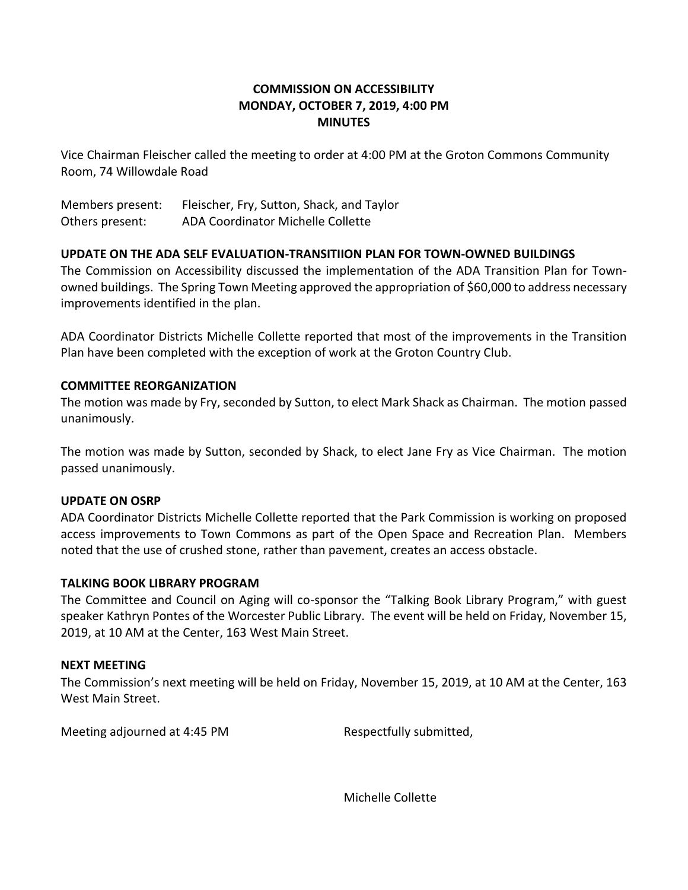# **COMMISSION ON ACCESSIBILITY MONDAY, OCTOBER 7, 2019, 4:00 PM MINUTES**

Vice Chairman Fleischer called the meeting to order at 4:00 PM at the Groton Commons Community Room, 74 Willowdale Road

Members present: Fleischer, Fry, Sutton, Shack, and Taylor Others present: ADA Coordinator Michelle Collette

## **UPDATE ON THE ADA SELF EVALUATION-TRANSITIION PLAN FOR TOWN-OWNED BUILDINGS**

The Commission on Accessibility discussed the implementation of the ADA Transition Plan for Townowned buildings. The Spring Town Meeting approved the appropriation of \$60,000 to address necessary improvements identified in the plan.

ADA Coordinator Districts Michelle Collette reported that most of the improvements in the Transition Plan have been completed with the exception of work at the Groton Country Club.

## **COMMITTEE REORGANIZATION**

The motion was made by Fry, seconded by Sutton, to elect Mark Shack as Chairman. The motion passed unanimously.

The motion was made by Sutton, seconded by Shack, to elect Jane Fry as Vice Chairman. The motion passed unanimously.

### **UPDATE ON OSRP**

ADA Coordinator Districts Michelle Collette reported that the Park Commission is working on proposed access improvements to Town Commons as part of the Open Space and Recreation Plan. Members noted that the use of crushed stone, rather than pavement, creates an access obstacle.

### **TALKING BOOK LIBRARY PROGRAM**

The Committee and Council on Aging will co-sponsor the "Talking Book Library Program," with guest speaker Kathryn Pontes of the Worcester Public Library. The event will be held on Friday, November 15, 2019, at 10 AM at the Center, 163 West Main Street.

### **NEXT MEETING**

The Commission's next meeting will be held on Friday, November 15, 2019, at 10 AM at the Center, 163 West Main Street.

Meeting adjourned at 4:45 PM Respectfully submitted,

Michelle Collette